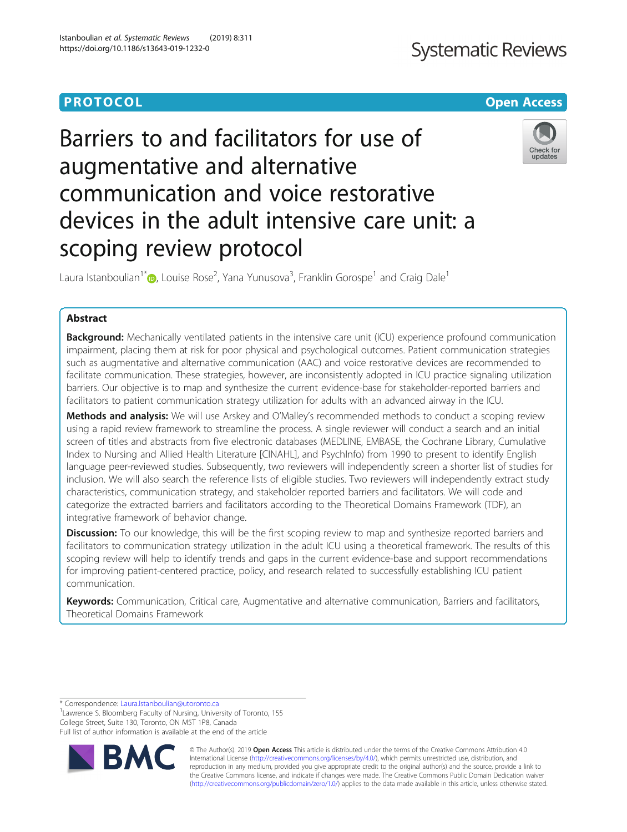## **PROTOCOL CONSUMING THE CONSUMING TEACHER CONSUMING THE CONSUMING TEACHER CONSUMING THE CONSUMING TEACHER CONSUMING**

# Barriers to and facilitators for use of augmentative and alternative communication and voice restorative devices in the adult intensive care unit: a scoping review protocol



Laura Istanboulian<sup>1\*</sup> $\bm{\mathbb{\Theta}}$ [,](http://orcid.org/0000-0002-8831-587X) Louise Rose<sup>2</sup>, Yana Yunusova<sup>3</sup>, Franklin Gorospe<sup>1</sup> and Craig Dale<sup>1</sup>

## Abstract

**Background:** Mechanically ventilated patients in the intensive care unit (ICU) experience profound communication impairment, placing them at risk for poor physical and psychological outcomes. Patient communication strategies such as augmentative and alternative communication (AAC) and voice restorative devices are recommended to facilitate communication. These strategies, however, are inconsistently adopted in ICU practice signaling utilization barriers. Our objective is to map and synthesize the current evidence-base for stakeholder-reported barriers and facilitators to patient communication strategy utilization for adults with an advanced airway in the ICU.

**Methods and analysis:** We will use Arskey and O'Malley's recommended methods to conduct a scoping review using a rapid review framework to streamline the process. A single reviewer will conduct a search and an initial screen of titles and abstracts from five electronic databases (MEDLINE, EMBASE, the Cochrane Library, Cumulative Index to Nursing and Allied Health Literature [CINAHL], and PsychInfo) from 1990 to present to identify English language peer-reviewed studies. Subsequently, two reviewers will independently screen a shorter list of studies for inclusion. We will also search the reference lists of eligible studies. Two reviewers will independently extract study characteristics, communication strategy, and stakeholder reported barriers and facilitators. We will code and categorize the extracted barriers and facilitators according to the Theoretical Domains Framework (TDF), an integrative framework of behavior change.

**Discussion:** To our knowledge, this will be the first scoping review to map and synthesize reported barriers and facilitators to communication strategy utilization in the adult ICU using a theoretical framework. The results of this scoping review will help to identify trends and gaps in the current evidence-base and support recommendations for improving patient-centered practice, policy, and research related to successfully establishing ICU patient communication.

Keywords: Communication, Critical care, Augmentative and alternative communication, Barriers and facilitators, Theoretical Domains Framework

\* Correspondence: [Laura.Istanboulian@utoronto.ca](mailto:Laura.Istanboulian@utoronto.ca) <sup>1</sup>

<sup>1</sup> Lawrence S. Bloomberg Faculty of Nursing, University of Toronto, 155 College Street, Suite 130, Toronto, ON M5T 1P8, Canada Full list of author information is available at the end of the article



© The Author(s). 2019 **Open Access** This article is distributed under the terms of the Creative Commons Attribution 4.0 International License [\(http://creativecommons.org/licenses/by/4.0/](http://creativecommons.org/licenses/by/4.0/)), which permits unrestricted use, distribution, and reproduction in any medium, provided you give appropriate credit to the original author(s) and the source, provide a link to the Creative Commons license, and indicate if changes were made. The Creative Commons Public Domain Dedication waiver [\(http://creativecommons.org/publicdomain/zero/1.0/](http://creativecommons.org/publicdomain/zero/1.0/)) applies to the data made available in this article, unless otherwise stated.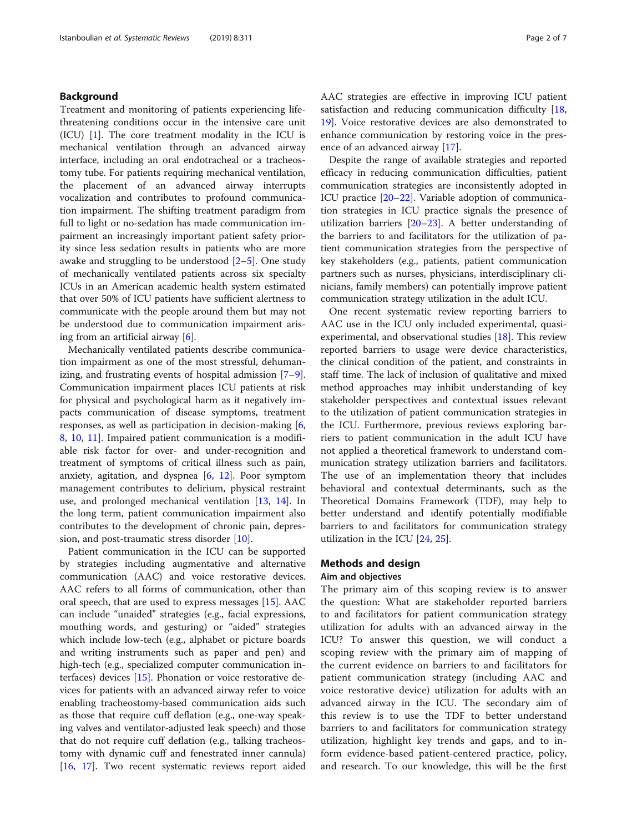## Background

Treatment and monitoring of patients experiencing lifethreatening conditions occur in the intensive care unit  $(ICU)$  [\[1](#page-5-0)]. The core treatment modality in the ICU is mechanical ventilation through an advanced airway interface, including an oral endotracheal or a tracheostomy tube. For patients requiring mechanical ventilation, the placement of an advanced airway interrupts vocalization and contributes to profound communication impairment. The shifting treatment paradigm from full to light or no-sedation has made communication impairment an increasingly important patient safety priority since less sedation results in patients who are more awake and struggling to be understood  $[2-5]$  $[2-5]$  $[2-5]$  $[2-5]$  $[2-5]$ . One study of mechanically ventilated patients across six specialty ICUs in an American academic health system estimated that over 50% of ICU patients have sufficient alertness to communicate with the people around them but may not be understood due to communication impairment arising from an artificial airway [\[6](#page-5-0)].

Mechanically ventilated patients describe communication impairment as one of the most stressful, dehumanizing, and frustrating events of hospital admission [\[7](#page-5-0)–[9](#page-5-0)]. Communication impairment places ICU patients at risk for physical and psychological harm as it negatively impacts communication of disease symptoms, treatment responses, as well as participation in decision-making [[6](#page-5-0), [8,](#page-5-0) [10](#page-5-0), [11\]](#page-5-0). Impaired patient communication is a modifiable risk factor for over- and under-recognition and treatment of symptoms of critical illness such as pain, anxiety, agitation, and dyspnea [\[6](#page-5-0), [12\]](#page-5-0). Poor symptom management contributes to delirium, physical restraint use, and prolonged mechanical ventilation [\[13](#page-5-0), [14\]](#page-5-0). In the long term, patient communication impairment also contributes to the development of chronic pain, depression, and post-traumatic stress disorder [[10\]](#page-5-0).

Patient communication in the ICU can be supported by strategies including augmentative and alternative communication (AAC) and voice restorative devices. AAC refers to all forms of communication, other than oral speech, that are used to express messages [[15\]](#page-5-0). AAC can include "unaided" strategies (e.g., facial expressions, mouthing words, and gesturing) or "aided" strategies which include low-tech (e.g., alphabet or picture boards and writing instruments such as paper and pen) and high-tech (e.g., specialized computer communication interfaces) devices [\[15](#page-5-0)]. Phonation or voice restorative devices for patients with an advanced airway refer to voice enabling tracheostomy-based communication aids such as those that require cuff deflation (e.g., one-way speaking valves and ventilator-adjusted leak speech) and those that do not require cuff deflation (e.g., talking tracheostomy with dynamic cuff and fenestrated inner cannula) [[16,](#page-5-0) [17](#page-5-0)]. Two recent systematic reviews report aided AAC strategies are effective in improving ICU patient satisfaction and reducing communication difficulty [[18](#page-5-0), [19\]](#page-5-0). Voice restorative devices are also demonstrated to enhance communication by restoring voice in the presence of an advanced airway [\[17](#page-5-0)].

Despite the range of available strategies and reported efficacy in reducing communication difficulties, patient communication strategies are inconsistently adopted in ICU practice [\[20](#page-5-0)–[22\]](#page-5-0). Variable adoption of communication strategies in ICU practice signals the presence of utilization barriers [\[20](#page-5-0)–[23\]](#page-5-0). A better understanding of the barriers to and facilitators for the utilization of patient communication strategies from the perspective of key stakeholders (e.g., patients, patient communication partners such as nurses, physicians, interdisciplinary clinicians, family members) can potentially improve patient communication strategy utilization in the adult ICU.

One recent systematic review reporting barriers to AAC use in the ICU only included experimental, quasiexperimental, and observational studies [[18\]](#page-5-0). This review reported barriers to usage were device characteristics, the clinical condition of the patient, and constraints in staff time. The lack of inclusion of qualitative and mixed method approaches may inhibit understanding of key stakeholder perspectives and contextual issues relevant to the utilization of patient communication strategies in the ICU. Furthermore, previous reviews exploring barriers to patient communication in the adult ICU have not applied a theoretical framework to understand communication strategy utilization barriers and facilitators. The use of an implementation theory that includes behavioral and contextual determinants, such as the Theoretical Domains Framework (TDF), may help to better understand and identify potentially modifiable barriers to and facilitators for communication strategy utilization in the ICU [[24,](#page-5-0) [25](#page-5-0)].

## Methods and design

### Aim and objectives

The primary aim of this scoping review is to answer the question: What are stakeholder reported barriers to and facilitators for patient communication strategy utilization for adults with an advanced airway in the ICU? To answer this question, we will conduct a scoping review with the primary aim of mapping of the current evidence on barriers to and facilitators for patient communication strategy (including AAC and voice restorative device) utilization for adults with an advanced airway in the ICU. The secondary aim of this review is to use the TDF to better understand barriers to and facilitators for communication strategy utilization, highlight key trends and gaps, and to inform evidence-based patient-centered practice, policy, and research. To our knowledge, this will be the first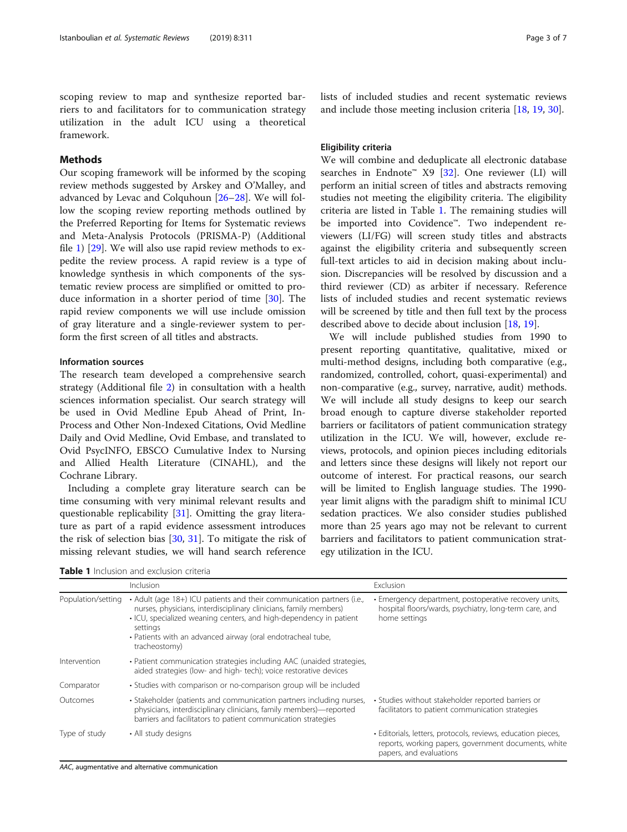scoping review to map and synthesize reported barriers to and facilitators for to communication strategy utilization in the adult ICU using a theoretical framework.

## Methods

Our scoping framework will be informed by the scoping review methods suggested by Arskey and O'Malley, and advanced by Levac and Colquhoun [\[26](#page-5-0)–[28\]](#page-5-0). We will follow the scoping review reporting methods outlined by the Preferred Reporting for Items for Systematic reviews and Meta-Analysis Protocols (PRISMA-P) (Additional file [1\)](#page-4-0) [\[29](#page-5-0)]. We will also use rapid review methods to expedite the review process. A rapid review is a type of knowledge synthesis in which components of the systematic review process are simplified or omitted to produce information in a shorter period of time [[30\]](#page-5-0). The rapid review components we will use include omission of gray literature and a single-reviewer system to perform the first screen of all titles and abstracts.

## Information sources

The research team developed a comprehensive search strategy (Additional file [2](#page-4-0)) in consultation with a health sciences information specialist. Our search strategy will be used in Ovid Medline Epub Ahead of Print, In-Process and Other Non-Indexed Citations, Ovid Medline Daily and Ovid Medline, Ovid Embase, and translated to Ovid PsycINFO, EBSCO Cumulative Index to Nursing and Allied Health Literature (CINAHL), and the Cochrane Library.

Including a complete gray literature search can be time consuming with very minimal relevant results and questionable replicability [\[31\]](#page-5-0). Omitting the gray literature as part of a rapid evidence assessment introduces the risk of selection bias [\[30](#page-5-0), [31\]](#page-5-0). To mitigate the risk of missing relevant studies, we will hand search reference

lists of included studies and recent systematic reviews and include those meeting inclusion criteria [[18,](#page-5-0) [19,](#page-5-0) [30\]](#page-5-0).

## Eligibility criteria

We will combine and deduplicate all electronic database searches in Endnote™ X9 [\[32](#page-5-0)]. One reviewer (LI) will perform an initial screen of titles and abstracts removing studies not meeting the eligibility criteria. The eligibility criteria are listed in Table 1. The remaining studies will be imported into Covidence™. Two independent reviewers (LI/FG) will screen study titles and abstracts against the eligibility criteria and subsequently screen full-text articles to aid in decision making about inclusion. Discrepancies will be resolved by discussion and a third reviewer (CD) as arbiter if necessary. Reference lists of included studies and recent systematic reviews will be screened by title and then full text by the process described above to decide about inclusion [[18](#page-5-0), [19](#page-5-0)].

We will include published studies from 1990 to present reporting quantitative, qualitative, mixed or multi-method designs, including both comparative (e.g., randomized, controlled, cohort, quasi-experimental) and non-comparative (e.g., survey, narrative, audit) methods. We will include all study designs to keep our search broad enough to capture diverse stakeholder reported barriers or facilitators of patient communication strategy utilization in the ICU. We will, however, exclude reviews, protocols, and opinion pieces including editorials and letters since these designs will likely not report our outcome of interest. For practical reasons, our search will be limited to English language studies. The 1990 year limit aligns with the paradigm shift to minimal ICU sedation practices. We also consider studies published more than 25 years ago may not be relevant to current barriers and facilitators to patient communication strategy utilization in the ICU.

Table 1 Inclusion and exclusion criteria

| <b>Table T</b> inclusion and exclusion criteria |                                                                                                                                                                                                                                                                                                               |                                                                                                                                                 |
|-------------------------------------------------|---------------------------------------------------------------------------------------------------------------------------------------------------------------------------------------------------------------------------------------------------------------------------------------------------------------|-------------------------------------------------------------------------------------------------------------------------------------------------|
|                                                 | <b>Inclusion</b>                                                                                                                                                                                                                                                                                              | Exclusion                                                                                                                                       |
| Population/setting                              | • Adult (age 18+) ICU patients and their communication partners (i.e.,<br>nurses, physicians, interdisciplinary clinicians, family members)<br>. ICU, specialized weaning centers, and high-dependency in patient<br>settings<br>· Patients with an advanced airway (oral endotracheal tube,<br>tracheostomy) | • Emergency department, postoperative recovery units,<br>hospital floors/wards, psychiatry, long-term care, and<br>home settings                |
| Intervention                                    | · Patient communication strategies including AAC (unaided strategies,<br>aided strategies (low- and high- tech); voice restorative devices                                                                                                                                                                    |                                                                                                                                                 |
| Comparator                                      | • Studies with comparison or no-comparison group will be included                                                                                                                                                                                                                                             |                                                                                                                                                 |
| Outcomes                                        | • Stakeholder (patients and communication partners including nurses,<br>physicians, interdisciplinary clinicians, family members)—reported<br>barriers and facilitators to patient communication strategies                                                                                                   | • Studies without stakeholder reported barriers or<br>facilitators to patient communication strategies                                          |
| Type of study                                   | • All study designs                                                                                                                                                                                                                                                                                           | · Editorials, letters, protocols, reviews, education pieces,<br>reports, working papers, government documents, white<br>papers, and evaluations |

AAC, augmentative and alternative communication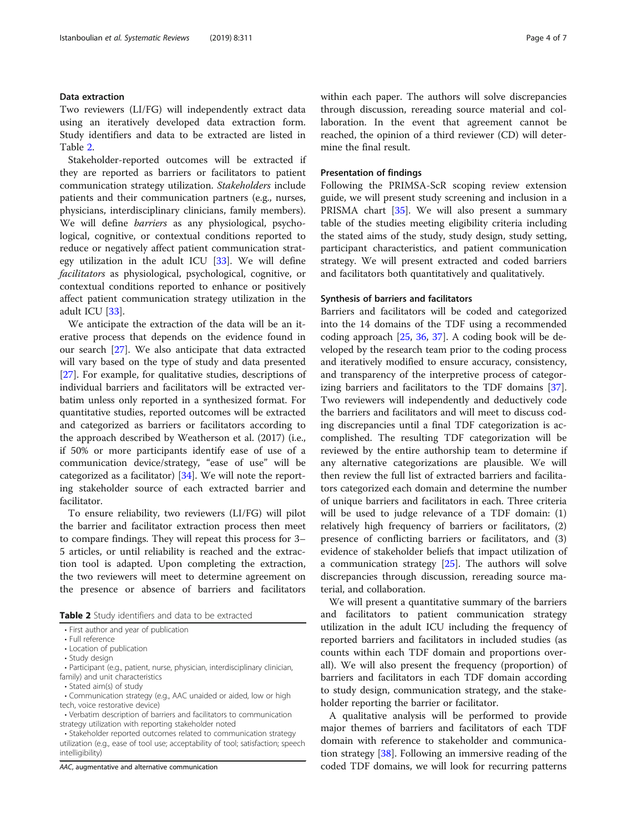#### Data extraction

Two reviewers (LI/FG) will independently extract data using an iteratively developed data extraction form. Study identifiers and data to be extracted are listed in Table 2.

Stakeholder-reported outcomes will be extracted if they are reported as barriers or facilitators to patient communication strategy utilization. Stakeholders include patients and their communication partners (e.g., nurses, physicians, interdisciplinary clinicians, family members). We will define barriers as any physiological, psychological, cognitive, or contextual conditions reported to reduce or negatively affect patient communication strategy utilization in the adult ICU  $[33]$  $[33]$  $[33]$ . We will define facilitators as physiological, psychological, cognitive, or contextual conditions reported to enhance or positively affect patient communication strategy utilization in the adult ICU [\[33](#page-5-0)].

We anticipate the extraction of the data will be an iterative process that depends on the evidence found in our search [[27](#page-5-0)]. We also anticipate that data extracted will vary based on the type of study and data presented [[27\]](#page-5-0). For example, for qualitative studies, descriptions of individual barriers and facilitators will be extracted verbatim unless only reported in a synthesized format. For quantitative studies, reported outcomes will be extracted and categorized as barriers or facilitators according to the approach described by Weatherson et al. (2017) (i.e., if 50% or more participants identify ease of use of a communication device/strategy, "ease of use" will be categorized as a facilitator) [\[34](#page-5-0)]. We will note the reporting stakeholder source of each extracted barrier and facilitator.

To ensure reliability, two reviewers (LI/FG) will pilot the barrier and facilitator extraction process then meet to compare findings. They will repeat this process for 3– 5 articles, or until reliability is reached and the extraction tool is adapted. Upon completing the extraction, the two reviewers will meet to determine agreement on the presence or absence of barriers and facilitators

Table 2 Study identifiers and data to be extracted

- Full reference
- Location of publication
- Study design
- Participant (e.g., patient, nurse, physician, interdisciplinary clinician, family) and unit characteristics
- Stated aim(s) of study
- Communication strategy (e.g., AAC unaided or aided, low or high tech, voice restorative device)
- Verbatim description of barriers and facilitators to communication strategy utilization with reporting stakeholder noted
- Stakeholder reported outcomes related to communication strategy utilization (e.g., ease of tool use; acceptability of tool; satisfaction; speech intelligibility)

AAC, augmentative and alternative communication

within each paper. The authors will solve discrepancies through discussion, rereading source material and collaboration. In the event that agreement cannot be reached, the opinion of a third reviewer (CD) will determine the final result.

## Presentation of findings

Following the PRIMSA-ScR scoping review extension guide, we will present study screening and inclusion in a PRISMA chart [\[35\]](#page-5-0). We will also present a summary table of the studies meeting eligibility criteria including the stated aims of the study, study design, study setting, participant characteristics, and patient communication strategy. We will present extracted and coded barriers and facilitators both quantitatively and qualitatively.

#### Synthesis of barriers and facilitators

Barriers and facilitators will be coded and categorized into the 14 domains of the TDF using a recommended coding approach [[25,](#page-5-0) [36](#page-5-0), [37\]](#page-5-0). A coding book will be developed by the research team prior to the coding process and iteratively modified to ensure accuracy, consistency, and transparency of the interpretive process of categorizing barriers and facilitators to the TDF domains [\[37](#page-5-0)]. Two reviewers will independently and deductively code the barriers and facilitators and will meet to discuss coding discrepancies until a final TDF categorization is accomplished. The resulting TDF categorization will be reviewed by the entire authorship team to determine if any alternative categorizations are plausible. We will then review the full list of extracted barriers and facilitators categorized each domain and determine the number of unique barriers and facilitators in each. Three criteria will be used to judge relevance of a TDF domain: (1) relatively high frequency of barriers or facilitators, (2) presence of conflicting barriers or facilitators, and (3) evidence of stakeholder beliefs that impact utilization of a communication strategy [\[25](#page-5-0)]. The authors will solve discrepancies through discussion, rereading source material, and collaboration.

We will present a quantitative summary of the barriers and facilitators to patient communication strategy utilization in the adult ICU including the frequency of reported barriers and facilitators in included studies (as counts within each TDF domain and proportions overall). We will also present the frequency (proportion) of barriers and facilitators in each TDF domain according to study design, communication strategy, and the stakeholder reporting the barrier or facilitator.

A qualitative analysis will be performed to provide major themes of barriers and facilitators of each TDF domain with reference to stakeholder and communication strategy [[38\]](#page-5-0). Following an immersive reading of the coded TDF domains, we will look for recurring patterns

<sup>•</sup> First author and year of publication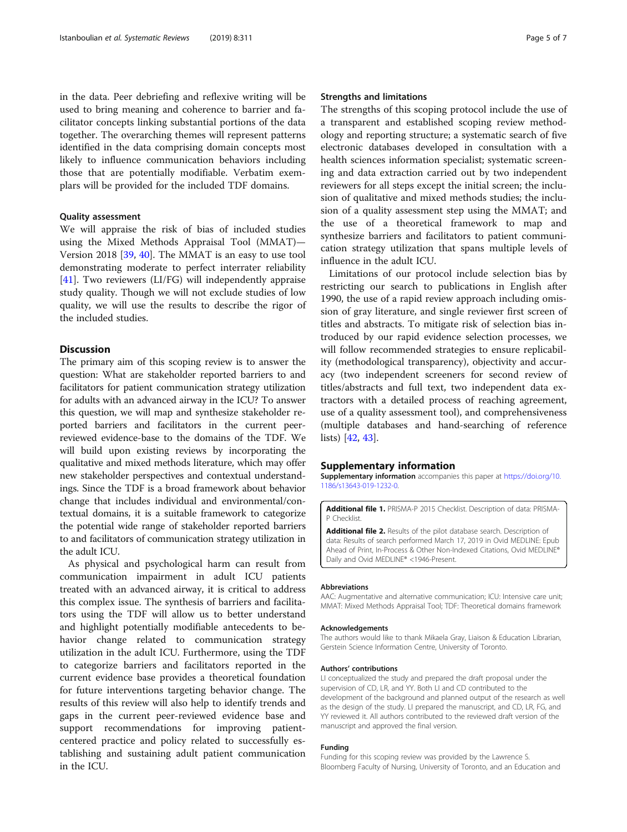<span id="page-4-0"></span>in the data. Peer debriefing and reflexive writing will be used to bring meaning and coherence to barrier and facilitator concepts linking substantial portions of the data together. The overarching themes will represent patterns identified in the data comprising domain concepts most likely to influence communication behaviors including those that are potentially modifiable. Verbatim exemplars will be provided for the included TDF domains.

#### Quality assessment

We will appraise the risk of bias of included studies using the Mixed Methods Appraisal Tool (MMAT)— Version 2018 [\[39](#page-5-0), [40](#page-5-0)]. The MMAT is an easy to use tool demonstrating moderate to perfect interrater reliability [[41\]](#page-6-0). Two reviewers (LI/FG) will independently appraise study quality. Though we will not exclude studies of low quality, we will use the results to describe the rigor of the included studies.

## **Discussion**

The primary aim of this scoping review is to answer the question: What are stakeholder reported barriers to and facilitators for patient communication strategy utilization for adults with an advanced airway in the ICU? To answer this question, we will map and synthesize stakeholder reported barriers and facilitators in the current peerreviewed evidence-base to the domains of the TDF. We will build upon existing reviews by incorporating the qualitative and mixed methods literature, which may offer new stakeholder perspectives and contextual understandings. Since the TDF is a broad framework about behavior change that includes individual and environmental/contextual domains, it is a suitable framework to categorize the potential wide range of stakeholder reported barriers to and facilitators of communication strategy utilization in the adult ICU.

As physical and psychological harm can result from communication impairment in adult ICU patients treated with an advanced airway, it is critical to address this complex issue. The synthesis of barriers and facilitators using the TDF will allow us to better understand and highlight potentially modifiable antecedents to behavior change related to communication strategy utilization in the adult ICU. Furthermore, using the TDF to categorize barriers and facilitators reported in the current evidence base provides a theoretical foundation for future interventions targeting behavior change. The results of this review will also help to identify trends and gaps in the current peer-reviewed evidence base and support recommendations for improving patientcentered practice and policy related to successfully establishing and sustaining adult patient communication in the ICU.

### Strengths and limitations

The strengths of this scoping protocol include the use of a transparent and established scoping review methodology and reporting structure; a systematic search of five electronic databases developed in consultation with a health sciences information specialist; systematic screening and data extraction carried out by two independent reviewers for all steps except the initial screen; the inclusion of qualitative and mixed methods studies; the inclusion of a quality assessment step using the MMAT; and the use of a theoretical framework to map and synthesize barriers and facilitators to patient communication strategy utilization that spans multiple levels of influence in the adult ICU.

Limitations of our protocol include selection bias by restricting our search to publications in English after 1990, the use of a rapid review approach including omission of gray literature, and single reviewer first screen of titles and abstracts. To mitigate risk of selection bias introduced by our rapid evidence selection processes, we will follow recommended strategies to ensure replicability (methodological transparency), objectivity and accuracy (two independent screeners for second review of titles/abstracts and full text, two independent data extractors with a detailed process of reaching agreement, use of a quality assessment tool), and comprehensiveness (multiple databases and hand-searching of reference lists) [[42,](#page-6-0) [43\]](#page-6-0).

#### Supplementary information

Supplementary information accompanies this paper at [https://doi.org/10.](https://doi.org/10.1186/s13643-019-1232-0) [1186/s13643-019-1232-0.](https://doi.org/10.1186/s13643-019-1232-0)

Additional file 1. PRISMA-P 2015 Checklist. Description of data: PRISMA-P Checklist.

Additional file 2. Results of the pilot database search. Description of data: Results of search performed March 17, 2019 in Ovid MEDLINE: Epub Ahead of Print, In-Process & Other Non-Indexed Citations, Ovid MEDLINE® Daily and Ovid MEDLINE® <1946-Present.

#### Abbreviations

AAC: Augmentative and alternative communication; ICU: Intensive care unit; MMAT: Mixed Methods Appraisal Tool; TDF: Theoretical domains framework

#### Acknowledgements

The authors would like to thank Mikaela Gray, Liaison & Education Librarian, Gerstein Science Information Centre, University of Toronto.

#### Authors' contributions

LI conceptualized the study and prepared the draft proposal under the supervision of CD, LR, and YY. Both LI and CD contributed to the development of the background and planned output of the research as well as the design of the study. LI prepared the manuscript, and CD, LR, FG, and YY reviewed it. All authors contributed to the reviewed draft version of the manuscript and approved the final version.

#### Funding

Funding for this scoping review was provided by the Lawrence S. Bloomberg Faculty of Nursing, University of Toronto, and an Education and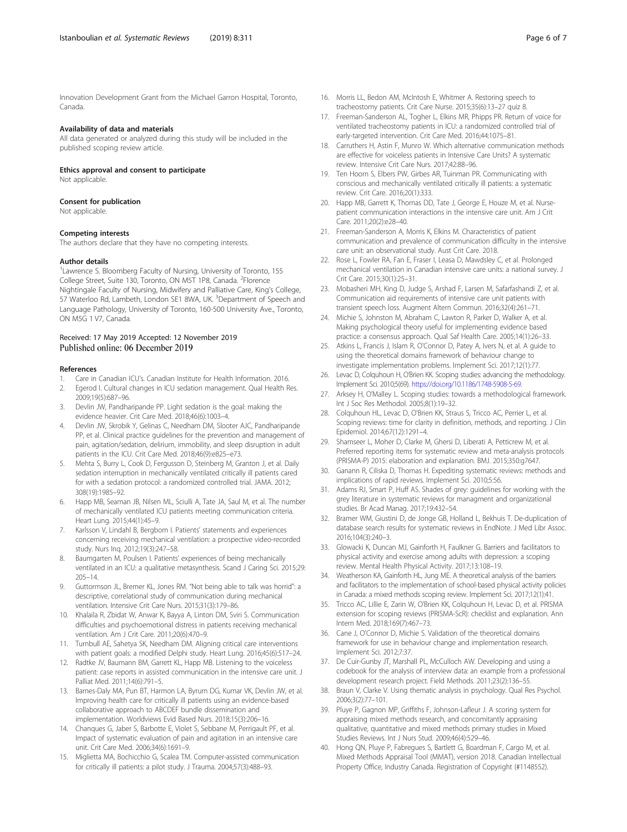<span id="page-5-0"></span>Innovation Development Grant from the Michael Garron Hospital, Toronto, Canada.

#### Availability of data and materials

All data generated or analyzed during this study will be included in the published scoping review article.

#### Ethics approval and consent to participate

Not applicable.

#### Consent for publication

Not applicable.

#### Competing interests

The authors declare that they have no competing interests.

#### Author details

<sup>1</sup> Lawrence S. Bloomberg Faculty of Nursing, University of Toronto, 155 College Street, Suite 130, Toronto, ON M5T 1P8, Canada. <sup>2</sup>Florence Nightingale Faculty of Nursing, Midwifery and Palliative Care, King's College, 57 Waterloo Rd, Lambeth, London SE1 8WA, UK. <sup>3</sup>Department of Speech and Language Pathology, University of Toronto, 160-500 University Ave., Toronto, ON M5G 1 V7, Canada.

#### Received: 17 May 2019 Accepted: 12 November 2019 Published online: 06 December 2019

#### References

- 1. Care in Canadian ICU's. Canadian Institute for Health Information. 2016.
- 2. Egerod I. Cultural changes in ICU sedation management. Qual Health Res. 2009;19(5):687–96.
- 3. Devlin JW, Pandharipande PP. Light sedation is the goal: making the evidence heavier. Crit Care Med. 2018;46(6):1003–4.
- 4. Devlin JW, Skrobik Y, Gelinas C, Needham DM, Slooter AJC, Pandharipande PP, et al. Clinical practice guidelines for the prevention and management of pain, agitation/sedation, delirium, immobility, and sleep disruption in adult patients in the ICU. Crit Care Med. 2018;46(9):e825–e73.
- 5. Mehta S, Burry L, Cook D, Fergusson D, Steinberg M, Granton J, et al. Daily sedation interruption in mechanically ventilated critically ill patients cared for with a sedation protocol: a randomized controlled trial. JAMA. 2012; 308(19):1985–92.
- 6. Happ MB, Seaman JB, Nilsen ML, Sciulli A, Tate JA, Saul M, et al. The number of mechanically ventilated ICU patients meeting communication criteria. Heart Lung. 2015;44(1):45–9.
- 7. Karlsson V, Lindahl B, Bergbom I. Patients' statements and experiences concerning receiving mechanical ventilation: a prospective video-recorded study. Nurs Inq. 2012;19(3):247–58.
- 8. Baumgarten M, Poulsen I. Patients' experiences of being mechanically ventilated in an ICU: a qualitative metasynthesis. Scand J Caring Sci. 2015;29: 205–14.
- 9. Guttormson JL, Bremer KL, Jones RM. "Not being able to talk was horrid": a descriptive, correlational study of communication during mechanical ventilation. Intensive Crit Care Nurs. 2015;31(3):179–86.
- 10. Khalaila R, Zbidat W, Anwar K, Bayya A, Linton DM, Sviri S. Communication difficulties and psychoemotional distress in patients receiving mechanical ventilation. Am J Crit Care. 2011;20(6):470–9.
- 11. Turnbull AE, Sahetya SK, Needham DM. Aligning critical care interventions with patient goals: a modified Delphi study. Heart Lung. 2016;45(6):517–24.
- 12. Radtke JV, Baumann BM, Garrett KL, Happ MB. Listening to the voiceless patient: case reports in assisted communication in the intensive care unit. J Palliat Med. 2011;14(6):791–5.
- 13. Barnes-Daly MA, Pun BT, Harmon LA, Byrum DG, Kumar VK, Devlin JW, et al. Improving health care for critically ill patients using an evidence-based collaborative approach to ABCDEF bundle dissemination and implementation. Worldviews Evid Based Nurs. 2018;15(3):206–16.
- 14. Chanques G, Jaber S, Barbotte E, Violet S, Sebbane M, Perrigault PF, et al. Impact of systematic evaluation of pain and agitation in an intensive care unit. Crit Care Med. 2006;34(6):1691–9.
- 15. Miglietta MA, Bochicchio G, Scalea TM. Computer-assisted communication for critically ill patients: a pilot study. J Trauma. 2004;57(3):488–93.
- 16. Morris LL, Bedon AM, McIntosh E, Whitmer A. Restoring speech to tracheostomy patients. Crit Care Nurse. 2015;35(6):13–27 quiz 8.
- 17. Freeman-Sanderson AL, Togher L, Elkins MR, Phipps PR, Return of voice for ventilated tracheostomy patients in ICU: a randomized controlled trial of early-targeted intervention. Crit Care Med. 2016;44:1075–81.
- 18. Carruthers H, Astin F, Munro W. Which alternative communication methods are effective for voiceless patients in Intensive Care Units? A systematic review. Intensive Crit Care Nurs. 2017;42:88–96.
- 19. Ten Hoorn S, Elbers PW, Girbes AR, Tuinman PR. Communicating with conscious and mechanically ventilated critically ill patients: a systematic review. Crit Care. 2016;20(1):333.
- 20. Happ MB, Garrett K, Thomas DD, Tate J, George E, Houze M, et al. Nursepatient communication interactions in the intensive care unit. Am J Crit Care. 2011;20(2):e28–40.
- 21. Freeman-Sanderson A, Morris K, Elkins M. Characteristics of patient communication and prevalence of communication difficulty in the intensive care unit: an observational study. Aust Crit Care. 2018.
- 22. Rose L, Fowler RA, Fan E, Fraser I, Leasa D, Mawdsley C, et al. Prolonged mechanical ventilation in Canadian intensive care units: a national survey. J Crit Care. 2015;30(1):25–31.
- 23. Mobasheri MH, King D, Judge S, Arshad F, Larsen M, Safarfashandi Z, et al. Communication aid requirements of intensive care unit patients with transient speech loss. Augment Altern Commun. 2016;32(4):261–71.
- 24. Michie S, Johnston M, Abraham C, Lawton R, Parker D, Walker A, et al. Making psychological theory useful for implementing evidence based practice: a consensus approach. Qual Saf Health Care. 2005;14(1):26–33.
- 25. Atkins L, Francis J, Islam R, O'Connor D, Patey A, Ivers N, et al. A guide to using the theoretical domains framework of behaviour change to investigate implementation problems. Implement Sci. 2017;12(1):77.
- 26. Levac D, Colquhoun H, O'Brien KK. Scoping studies: advancing the methodology. Implement Sci. 2010;5(69). [https://doi.org/10.1186/1748-5908-5-69.](https://doi.org/10.1186/1748-5908-5-69)
- 27. Arksey H, O'Malley L. Scoping studies: towards a methodological framework. Int J Soc Res Methodol. 2005;8(1):19–32.
- 28. Colquhoun HL, Levac D, O'Brien KK, Straus S, Tricco AC, Perrier L, et al. Scoping reviews: time for clarity in definition, methods, and reporting. J Clin Epidemiol. 2014;67(12):1291–4.
- 29. Shamseer L, Moher D, Clarke M, Ghersi D, Liberati A, Petticrew M, et al. Preferred reporting items for systematic review and meta-analysis protocols (PRISMA-P) 2015: elaboration and explanation. BMJ. 2015;350:g7647.
- 30. Ganann R, Ciliska D, Thomas H. Expediting systematic reviews: methods and implications of rapid reviews. Implement Sci. 2010;5:56.
- 31. Adams RJ, Smart P, Huff AS. Shades of grey: guidelines for working with the grey literature in systematic reviews for managment and organizational studies. Br Acad Manag. 2017;19:432–54.
- 32. Bramer WM, Giustini D, de Jonge GB, Holland L, Bekhuis T. De-duplication of database search results for systematic reviews in EndNote. J Med Libr Assoc. 2016;104(3):240–3.
- 33. Glowacki K, Duncan MJ, Gainforth H, Faulkner G. Barriers and facilitators to physical activity and exercise among adults with depression: a scoping review. Mental Health Physical Activity. 2017;13:108–19.
- 34. Weatherson KA, Gainforth HL, Jung ME. A theoretical analysis of the barriers and facilitators to the implementation of school-based physical activity policies in Canada: a mixed methods scoping review. Implement Sci. 2017;12(1):41.
- 35. Tricco AC, Lillie E, Zarin W, O'Brien KK, Colquhoun H, Levac D, et al. PRISMA extension for scoping reviews (PRISMA-ScR): checklist and explanation. Ann Intern Med. 2018;169(7):467–73.
- 36. Cane J, O'Connor D, Michie S. Validation of the theoretical domains framework for use in behaviour change and implementation research. Implement Sci. 2012;7:37.
- 37. De Cuir-Gunby JT, Marshall PL, McCulloch AW. Developing and using a codebook for the analysis of interview data: an example from a professional development research project. Field Methods. 2011;23(2):136–55.
- 38. Braun V, Clarke V. Using thematic analysis in psychology. Qual Res Psychol. 2006;3(2):77–101.
- 39. Pluye P, Gagnon MP, Griffiths F, Johnson-Lafleur J. A scoring system for appraising mixed methods research, and concomitantly appraising qualitative, quantitative and mixed methods primary studies in Mixed Studies Reviews. Int J Nurs Stud. 2009;46(4):529–46.
- 40. Hong QN, Pluye P, Fabregues S, Bartlett G, Boardman F, Cargo M, et al. Mixed Methods Appraisal Tool (MMAT), version 2018. Canadian Intellectual Property Office, Industry Canada. Registration of Copyright (#1148552).